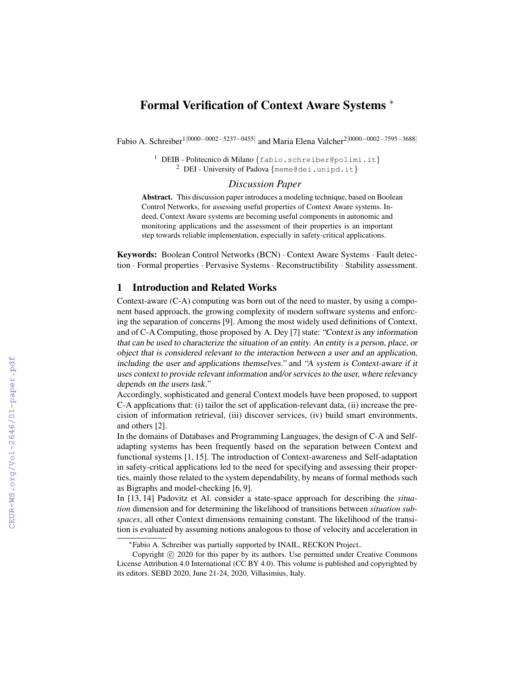# Formal Verification of Context Aware Systems <sup>∗</sup>

Fabio A. Schreiber<sup>1[0000–0002–5237–0455]</sup> and Maria Elena Valcher<sup>2[0000–0002–7595–3688]</sup>

<sup>1</sup> DEIB - Politecnico di Milano {fabio.schreiber@polimi.it} <sup>2</sup> DEI - University of Padova {meme@dei.unipd.it}

# *Discussion Paper*

Abstract. This discussion paper introduces a modeling technique, based on Boolean Control Networks, for assessing useful properties of Context Aware systems. Indeed, Context Aware systems are becoming useful components in autonomic and monitoring applications and the assessment of their properties is an important step towards reliable implementation, especially in safety-critical applications.

Keywords: Boolean Control Networks (BCN) · Context Aware Systems · Fault detection · Formal properties · Pervasive Systems · Reconstructibility · Stability assessment.

### 1 Introduction and Related Works

Context-aware (C-A) computing was born out of the need to master, by using a component based approach, the growing complexity of modern software systems and enforcing the separation of concerns [9]. Among the most widely used definitions of Context, and of C-A Computing, those proposed by A. Dey [7] state: "Context is any information that can be used to characterize the situation of an entity. An entity is a person, place, or object that is considered relevant to the interaction between a user and an application, including the user and applications themselves." and "A system is Context-aware if it uses context to provide relevant information and/or services to the user, where relevancy depends on the users task."

Accordingly, sophisticated and general Context models have been proposed, to support C-A applications that: (i) tailor the set of application-relevant data, (ii) increase the precision of information retrieval, (iii) discover services, (iv) build smart environments, and others [2].

In the domains of Databases and Programming Languages, the design of C-A and Selfadapting systems has been frequently based on the separation between Context and functional systems [1, 15]. The introduction of Context-awareness and Self-adaptation in safety-critical applications led to the need for specifying and assessing their properties, mainly those related to the system dependability, by means of formal methods such as Bigraphs and model-checking [6, 9].

In [13, 14] Padovitz et Al. consider a state-space approach for describing the *situation* dimension and for determining the likelihood of transitions between *situation subspaces*, all other Context dimensions remaining constant. The likelihood of the transition is evaluated by assuming notions analogous to those of velocity and acceleration in

<sup>∗</sup>Fabio A. Schreiber was partially supported by INAIL, RECKON Project..

Copyright  $\odot$  2020 for this paper by its authors. Use permitted under Creative Commons License Attribution 4.0 International (CC BY 4.0). This volume is published and copyrighted by its editors. SEBD 2020, June 21-24, 2020, Villasimius, Italy.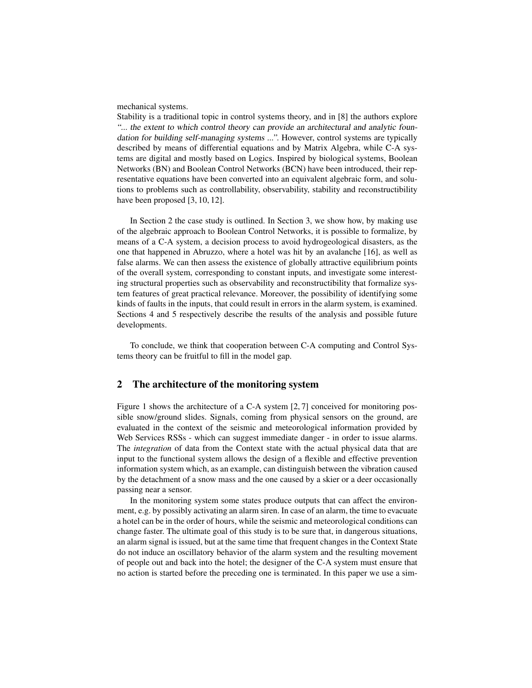mechanical systems.

Stability is a traditional topic in control systems theory, and in [8] the authors explore "... the extent to which control theory can provide an architectural and analytic foundation for building self-managing systems ...". However, control systems are typically described by means of differential equations and by Matrix Algebra, while C-A systems are digital and mostly based on Logics. Inspired by biological systems, Boolean Networks (BN) and Boolean Control Networks (BCN) have been introduced, their representative equations have been converted into an equivalent algebraic form, and solutions to problems such as controllability, observability, stability and reconstructibility have been proposed [3, 10, 12].

In Section 2 the case study is outlined. In Section 3, we show how, by making use of the algebraic approach to Boolean Control Networks, it is possible to formalize, by means of a C-A system, a decision process to avoid hydrogeological disasters, as the one that happened in Abruzzo, where a hotel was hit by an avalanche [16], as well as false alarms. We can then assess the existence of globally attractive equilibrium points of the overall system, corresponding to constant inputs, and investigate some interesting structural properties such as observability and reconstructibility that formalize system features of great practical relevance. Moreover, the possibility of identifying some kinds of faults in the inputs, that could result in errors in the alarm system, is examined. Sections 4 and 5 respectively describe the results of the analysis and possible future developments.

To conclude, we think that cooperation between C-A computing and Control Systems theory can be fruitful to fill in the model gap.

# 2 The architecture of the monitoring system

Figure 1 shows the architecture of a C-A system [2, 7] conceived for monitoring possible snow/ground slides. Signals, coming from physical sensors on the ground, are evaluated in the context of the seismic and meteorological information provided by Web Services RSSs - which can suggest immediate danger - in order to issue alarms. The *integration* of data from the Context state with the actual physical data that are input to the functional system allows the design of a flexible and effective prevention information system which, as an example, can distinguish between the vibration caused by the detachment of a snow mass and the one caused by a skier or a deer occasionally passing near a sensor.

In the monitoring system some states produce outputs that can affect the environment, e.g. by possibly activating an alarm siren. In case of an alarm, the time to evacuate a hotel can be in the order of hours, while the seismic and meteorological conditions can change faster. The ultimate goal of this study is to be sure that, in dangerous situations, an alarm signal is issued, but at the same time that frequent changes in the Context State do not induce an oscillatory behavior of the alarm system and the resulting movement of people out and back into the hotel; the designer of the C-A system must ensure that no action is started before the preceding one is terminated. In this paper we use a sim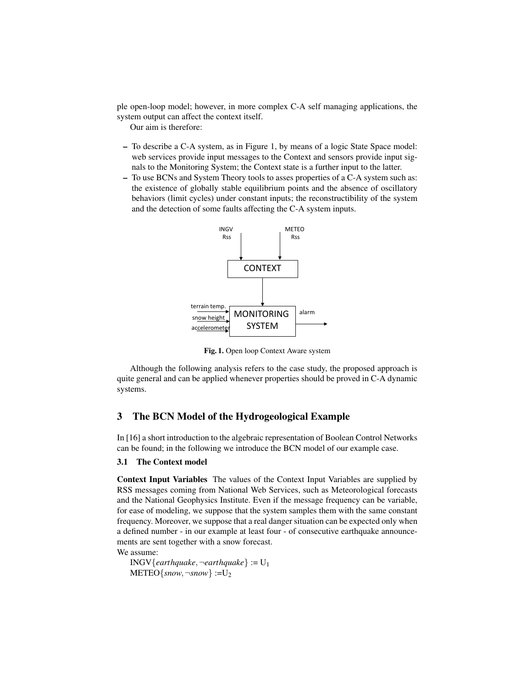ple open-loop model; however, in more complex C-A self managing applications, the system output can affect the context itself.

Our aim is therefore:

- To describe a C-A system, as in Figure 1, by means of a logic State Space model: web services provide input messages to the Context and sensors provide input signals to the Monitoring System; the Context state is a further input to the latter.
- To use BCNs and System Theory tools to asses properties of a C-A system such as: the existence of globally stable equilibrium points and the absence of oscillatory behaviors (limit cycles) under constant inputs; the reconstructibility of the system and the detection of some faults affecting the C-A system inputs.



Fig. 1. Open loop Context Aware system

Although the following analysis refers to the case study, the proposed approach is quite general and can be applied whenever properties should be proved in C-A dynamic systems.

# 3 The BCN Model of the Hydrogeological Example

In [16] a short introduction to the algebraic representation of Boolean Control Networks can be found; in the following we introduce the BCN model of our example case.

#### 3.1 The Context model

Context Input Variables The values of the Context Input Variables are supplied by RSS messages coming from National Web Services, such as Meteorological forecasts and the National Geophysics Institute. Even if the message frequency can be variable, for ease of modeling, we suppose that the system samples them with the same constant frequency. Moreover, we suppose that a real danger situation can be expected only when a defined number - in our example at least four - of consecutive earthquake announcements are sent together with a snow forecast.

We assume:

INGV{*earthquake*, $\neg$ *earthquake*} := U<sub>1</sub>  $METEO\{snow, \neg snow\} := U_2$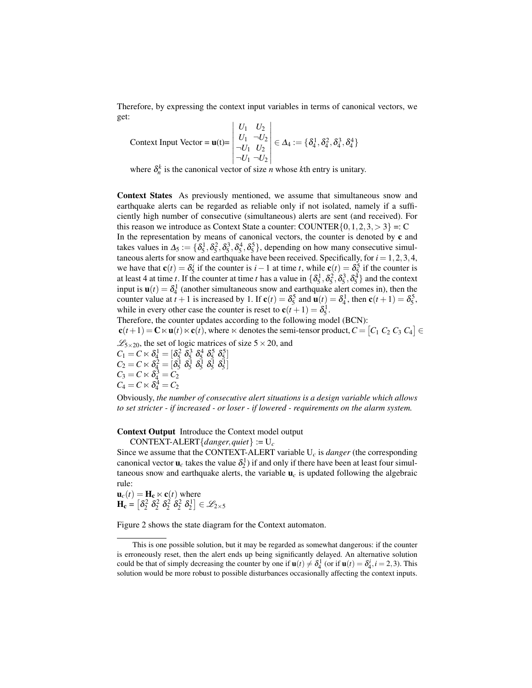Therefore, by expressing the context input variables in terms of canonical vectors, we get:

Context Input Vector =  $u(t)$ =  $|U1 U2|$ *U*<sup>1</sup> *U*<sup>2</sup>  $U_1$   $\neg U_2$  $\neg U_1$  *U*<sub>2</sub>  $\neg U_1 \neg U_2$   $\in \Delta_4 := \{\delta_4^1, \delta_4^2, \delta_4^3, \delta_4^4\}$ 

where  $\delta_n^k$  is the canonical vector of size *n* whose *k*th entry is unitary.

Context States As previously mentioned, we assume that simultaneous snow and earthquake alerts can be regarded as reliable only if not isolated, namely if a sufficiently high number of consecutive (simultaneous) alerts are sent (and received). For this reason we introduce as Context State a counter: COUNTER $\{0, 1, 2, 3, > 3\} =: C$ 

In the representation by means of canonical vectors, the counter is denoted by  $c$  and takes values in  $\Delta_5 := \{\delta_5^1, \delta_5^2, \delta_5^3, \delta_5^4, \delta_5^5\}$ , depending on how many consecutive simultaneous alerts for snow and earthquake have been received. Specifically, for  $i = 1, 2, 3, 4$ , we have that  $\mathbf{c}(t) = \delta_5^i$  if the counter is *i* − 1 at time *t*, while  $\mathbf{c}(t) = \delta_5^5$  if the counter is at least 4 at time *t*. If the counter at time *t* has a value in  $\{\delta_5^1, \delta_5^2, \delta_5^3, \delta_5^4\}$  and the context input is  $\mathbf{u}(t) = \delta_4^1$  (another simultaneous snow and earthquake alert comes in), then the counter value at  $t + 1$  is increased by 1. If  $\mathbf{c}(t) = \delta_5^5$  and  $\mathbf{u}(t) = \delta_4^1$ , then  $\mathbf{c}(t + 1) = \delta_5^5$ , while in every other case the counter is reset to  $\mathbf{c}(t+1) = \delta_5^1$ .

Therefore, the counter updates according to the following model (BCN):  $\mathbf{c}(t+1) = \mathbf{C} \ltimes \mathbf{u}(t) \ltimes \mathbf{c}(t)$ , where  $\ltimes$  denotes the semi-tensor product,  $C = \begin{bmatrix} C_1 & C_2 & C_3 & C_4 \end{bmatrix} \in$  $\mathscr{L}_{5\times20}$ , the set of logic matrices of size  $5\times20$ , and  $C_1 = C \ltimes \delta_4^1 = [\delta_5^2 \ \delta_5^3 \ \delta_5^4 \ \delta_5^5 \ \delta_5^5]$  $C_2 = C \ltimes \delta_4^2 = \left[\delta_5^1 \ \delta_5^1 \ \delta_5^1 \ \delta_5^1 \ \delta_5^1 \ \delta_5^1\right]$  $C_3 = C \ltimes \delta_4^3 = C_2$  $C_4 = C \ltimes \delta_4^4 = C_2$ Obviously, *the number of consecutive alert situations is a design variable which allows*

*to set stricter - if increased - or loser - if lowered - requirements on the alarm system.*

Context Output Introduce the Context model output

CONTEXT-ALERT{*danger*,*quiet*} := U*<sup>c</sup>*

Since we assume that the CONTEXT-ALERT variable  $U_c$  is *danger* (the corresponding canonical vector  $\mathbf{u}_c$  takes the value  $\delta_2^1$ ) if and only if there have been at least four simultaneous snow and earthquake alerts, the variable  $\mathbf{u}_c$  is updated following the algebraic rule:

 $\mathbf{u}_c(t) = \mathbf{H}_c \ltimes \mathbf{c}(t)$  where  $\mathbf{H_c} = \left[\delta_2^2 \ \delta_2^2 \ \delta_2^2 \ \delta_2^2 \ \delta_2^1\right] \in \mathscr{L}_{2\times 5}$ 

Figure 2 shows the state diagram for the Context automaton.

This is one possible solution, but it may be regarded as somewhat dangerous: if the counter is erroneously reset, then the alert ends up being significantly delayed. An alternative solution could be that of simply decreasing the counter by one if  $\mathbf{u}(t) \neq \delta_4^1$  (or if  $\mathbf{u}(t) = \delta_4^i$ ,  $i = 2, 3$ ). This solution would be more robust to possible disturbances occasionally affecting the context inputs.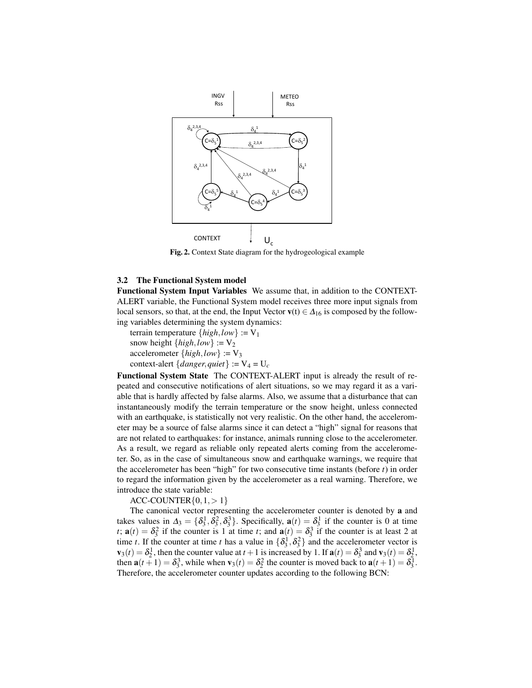

Fig. 2. Context State diagram for the hydrogeological example

### 3.2 The Functional System model

Functional System Input Variables We assume that, in addition to the CONTEXT-ALERT variable, the Functional System model receives three more input signals from local sensors, so that, at the end, the Input Vector  $\mathbf{v}(t) \in \Delta_{16}$  is composed by the following variables determining the system dynamics:

terrain temperature  $\{high, low\} := V_1$ snow height  $\{high, low\} := V_2$ accelerometer  $\{high, low\} := V_3$ context-alert {*danger*, *quiet*} :=  $V_4 = U_c$ 

Functional System State The CONTEXT-ALERT input is already the result of repeated and consecutive notifications of alert situations, so we may regard it as a variable that is hardly affected by false alarms. Also, we assume that a disturbance that can instantaneously modify the terrain temperature or the snow height, unless connected with an earthquake, is statistically not very realistic. On the other hand, the accelerometer may be a source of false alarms since it can detect a "high" signal for reasons that are not related to earthquakes: for instance, animals running close to the accelerometer. As a result, we regard as reliable only repeated alerts coming from the accelerometer. So, as in the case of simultaneous snow and earthquake warnings, we require that the accelerometer has been "high" for two consecutive time instants (before *t*) in order to regard the information given by the accelerometer as a real warning. Therefore, we introduce the state variable:

 $ACC-COUNTER\{0,1,>1\}$ 

The canonical vector representing the accelerometer counter is denoted by a and takes values in  $\Delta_3 = {\delta_3^1, \delta_3^2, \delta_3^3}$ . Specifically,  $\mathbf{a}(t) = \delta_3^1$  if the counter is 0 at time *t*;  $\mathbf{a}(t) = \delta_3^2$  if the counter is 1 at time *t*; and  $\mathbf{a}(t) = \delta_3^3$  if the counter is at least 2 at time *t*. If the counter at time *t* has a value in  $\{\delta_3^1, \delta_3^2\}$  and the accelerometer vector is  $\mathbf{v}_3(t) = \delta_2^1$ , then the counter value at  $t + 1$  is increased by 1. If  $\mathbf{a}(t) = \delta_3^3$  and  $\mathbf{v}_3(t) = \delta_2^1$ , then  $\mathbf{a}(t+1) = \delta_3^3$ , while when  $\mathbf{v}_3(t) = \delta_2^2$  the counter is moved back to  $\mathbf{a}(t+1) = \delta_3^1$ . Therefore, the accelerometer counter updates according to the following BCN: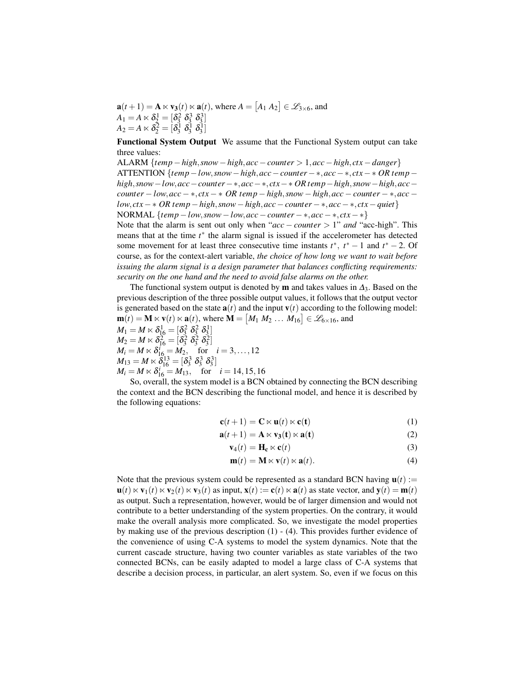$\mathbf{a}(t+1) = \mathbf{A} \ltimes \mathbf{v}_3(t) \ltimes \mathbf{a}(t)$ , where  $A = [A_1 \ A_2] \in \mathcal{L}_{3 \times 6}$ , and  $A_1 = A \ltimes \delta_2^1 = [\delta_3^2 \; \delta_3^3 \; \delta_3^3]$  $A_2 = A \ltimes \delta_2^{\bar{2}} = [\delta_3^{\bar{1}} \ \delta_3^{\bar{1}} \ \delta_3^{\bar{1}}]$ 

Functional System Output We assume that the Functional System output can take three values:

ALARM {*temp*−*high*,*snow*−*high*,*acc*−*counter* > 1,*acc*−*high*, *ctx*−*danger*} ATTENTION {*temp*−*low*,*snow*−*high*,*acc*−*counter*− ∗,*acc*− ∗, *ctx*− ∗ *OR temp*− *high*,*snow*−*low*,*acc*−*counter*−∗,*acc*−∗, *ctx*−∗ *OR temp*−*high*,*snow*−*high*,*acc*− *counter* − *low*,*acc* − ∗, *ctx* − ∗ *OR temp* − *high*,*snow* − *high*,*acc* − *counter* − ∗,*acc* − *low*, *ctx*− ∗ *OR temp*−*high*,*snow*−*high*,*acc*−*counter* − ∗,*acc*− ∗, *ctx*−*quiet*} NORMAL  $\{temp - low, snow - low, acc - counter - *, acc - *, ctx - *\}$ Note that the alarm is sent out only when "*acc* − *counter* > 1" *and* "acc-high". This means that at the time *t*<sup>∗</sup> the alarm signal is issued if the accelerometer has detected some movement for at least three consecutive time instants  $t^*$ ,  $t^* - 1$  and  $t^* - 2$ . Of

course, as for the context-alert variable, *the choice of how long we want to wait before issuing the alarm signal is a design parameter that balances conflicting requirements: security on the one hand and the need to avoid false alarms on the other.*

The functional system output is denoted by **m** and takes values in  $\Delta_3$ . Based on the previous description of the three possible output values, it follows that the output vector is generated based on the state  $\mathbf{a}(t)$  and the input  $\mathbf{v}(t)$  according to the following model:  $\mathbf{m}(t) = \mathbf{M} \ltimes \mathbf{v}(t) \ltimes \mathbf{a}(t)$ , where  $\mathbf{M} = [M_1 \ M_2 \ \dots \ M_{16}] \in \mathscr{L}_{6 \times 16}$ , and

 $M_1 = M \ltimes \delta_{16}^1 = [\delta_3^2 \; \delta_3^2 \; \delta_3^1]$  $M_2 = M \ltimes \delta_{16}^2 = [\delta_3^2 \ \ \delta_3^2 \ \ \delta_3^2]$  $M_i = M \ltimes \delta_{16}^i = M_2$ , for  $i = 3,...,12$  $M_{13} = M \ltimes \overline{\delta}_{16}^{13} = [\delta_3^3 \; \delta_3^3 \; \delta_3^3]$  $M_i = M \ltimes \delta_{16}^i = M_{13}$ , for  $i = 14, 15, 16$ 

So, overall, the system model is a BCN obtained by connecting the BCN describing the context and the BCN describing the functional model, and hence it is described by the following equations:

$$
\mathbf{c}(t+1) = \mathbf{C} \ltimes \mathbf{u}(t) \ltimes \mathbf{c}(t)
$$
 (1)

$$
\mathbf{a}(t+1) = \mathbf{A} \ltimes \mathbf{v}_3(t) \ltimes \mathbf{a}(t) \tag{2}
$$

$$
\mathbf{v}_4(t) = \mathbf{H_c} \ltimes \mathbf{c}(t) \tag{3}
$$

$$
\mathbf{m}(t) = \mathbf{M} \ltimes \mathbf{v}(t) \ltimes \mathbf{a}(t). \tag{4}
$$

Note that the previous system could be represented as a standard BCN having  $u(t)$  :=  $\mathbf{u}(t) \ltimes \mathbf{v}_1(t) \ltimes \mathbf{v}_2(t) \ltimes \mathbf{v}_3(t)$  as input,  $\mathbf{x}(t) := \mathbf{c}(t) \ltimes \mathbf{a}(t)$  as state vector, and  $\mathbf{v}(t) = \mathbf{m}(t)$ as output. Such a representation, however, would be of larger dimension and would not contribute to a better understanding of the system properties. On the contrary, it would make the overall analysis more complicated. So, we investigate the model properties by making use of the previous description (1) - (4). This provides further evidence of the convenience of using C-A systems to model the system dynamics. Note that the current cascade structure, having two counter variables as state variables of the two connected BCNs, can be easily adapted to model a large class of C-A systems that describe a decision process, in particular, an alert system. So, even if we focus on this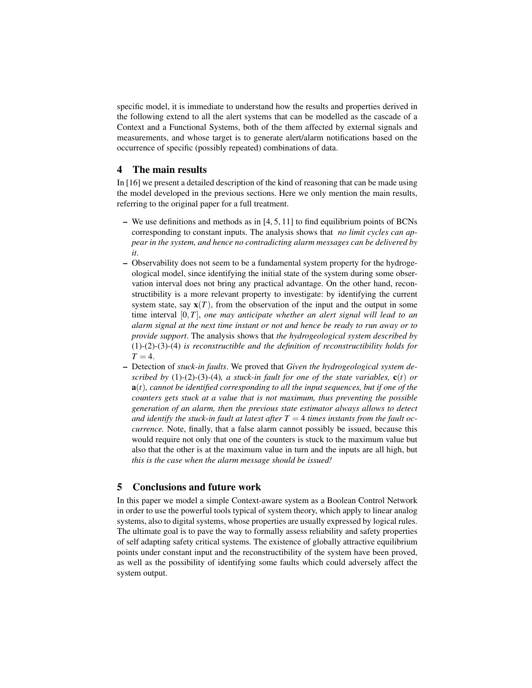specific model, it is immediate to understand how the results and properties derived in the following extend to all the alert systems that can be modelled as the cascade of a Context and a Functional Systems, both of the them affected by external signals and measurements, and whose target is to generate alert/alarm notifications based on the occurrence of specific (possibly repeated) combinations of data.

### 4 The main results

In [16] we present a detailed description of the kind of reasoning that can be made using the model developed in the previous sections. Here we only mention the main results, referring to the original paper for a full treatment.

- We use definitions and methods as in  $[4, 5, 11]$  to find equilibrium points of BCNs corresponding to constant inputs. The analysis shows that *no limit cycles can appear in the system, and hence no contradicting alarm messages can be delivered by it*.
- Observability does not seem to be a fundamental system property for the hydrogeological model, since identifying the initial state of the system during some observation interval does not bring any practical advantage. On the other hand, reconstructibility is a more relevant property to investigate: by identifying the current system state, say  $\mathbf{x}(T)$ , from the observation of the input and the output in some time interval [0,*T*], *one may anticipate whether an alert signal will lead to an alarm signal at the next time instant or not and hence be ready to run away or to provide support*. The analysis shows that *the hydrogeological system described by* (1)*-*(2)*-*(3)*-*(4) *is reconstructible and the definition of reconstructibility holds for*  $T = 4$
- Detection of *stuck-in faults*. We proved that *Given the hydrogeological system described by* (1)-(2)-(3)-(4)*, a stuck-in fault for one of the state variables,*  $c(t)$  *or* a(*t*)*, cannot be identified corresponding to all the input sequences, but if one of the counters gets stuck at a value that is not maximum, thus preventing the possible generation of an alarm, then the previous state estimator always allows to detect* and identify the stuck-in fault at latest after  $T = 4$  times instants from the fault oc*currence.* Note, finally, that a false alarm cannot possibly be issued, because this would require not only that one of the counters is stuck to the maximum value but also that the other is at the maximum value in turn and the inputs are all high, but *this is the case when the alarm message should be issued!*

# 5 Conclusions and future work

In this paper we model a simple Context-aware system as a Boolean Control Network in order to use the powerful tools typical of system theory, which apply to linear analog systems, also to digital systems, whose properties are usually expressed by logical rules. The ultimate goal is to pave the way to formally assess reliability and safety properties of self adapting safety critical systems. The existence of globally attractive equilibrium points under constant input and the reconstructibility of the system have been proved, as well as the possibility of identifying some faults which could adversely affect the system output.